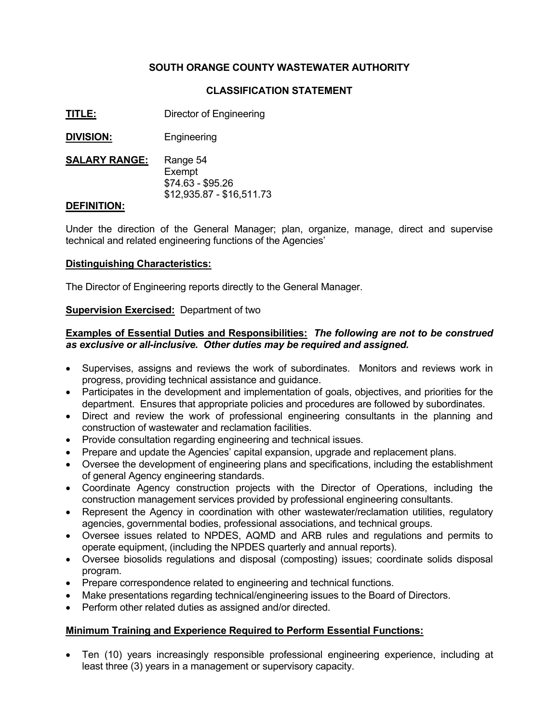# **SOUTH ORANGE COUNTY WASTEWATER AUTHORITY**

## **CLASSIFICATION STATEMENT**

- **TITLE:** Director of Engineering
- **DIVISION:** Engineering
- **SALARY RANGE:** Range 54 Exempt \$74.63 - \$95.26 \$12,935.87 - \$16,511.73

### **DEFINITION:**

Under the direction of the General Manager; plan, organize, manage, direct and supervise technical and related engineering functions of the Agencies'

#### **Distinguishing Characteristics:**

The Director of Engineering reports directly to the General Manager.

#### **Supervision Exercised:** Department of two

### **Examples of Essential Duties and Responsibilities:** *The following are not to be construed as exclusive or all-inclusive. Other duties may be required and assigned.*

- Supervises, assigns and reviews the work of subordinates. Monitors and reviews work in progress, providing technical assistance and guidance.
- Participates in the development and implementation of goals, objectives, and priorities for the department. Ensures that appropriate policies and procedures are followed by subordinates.
- Direct and review the work of professional engineering consultants in the planning and construction of wastewater and reclamation facilities.
- Provide consultation regarding engineering and technical issues.
- Prepare and update the Agencies' capital expansion, upgrade and replacement plans.
- Oversee the development of engineering plans and specifications, including the establishment of general Agency engineering standards.
- Coordinate Agency construction projects with the Director of Operations, including the construction management services provided by professional engineering consultants.
- Represent the Agency in coordination with other wastewater/reclamation utilities, regulatory agencies, governmental bodies, professional associations, and technical groups.
- Oversee issues related to NPDES, AQMD and ARB rules and regulations and permits to operate equipment, (including the NPDES quarterly and annual reports).
- Oversee biosolids regulations and disposal (composting) issues; coordinate solids disposal program.
- Prepare correspondence related to engineering and technical functions.
- Make presentations regarding technical/engineering issues to the Board of Directors.
- Perform other related duties as assigned and/or directed.

#### **Minimum Training and Experience Required to Perform Essential Functions:**

• Ten (10) years increasingly responsible professional engineering experience, including at least three (3) years in a management or supervisory capacity.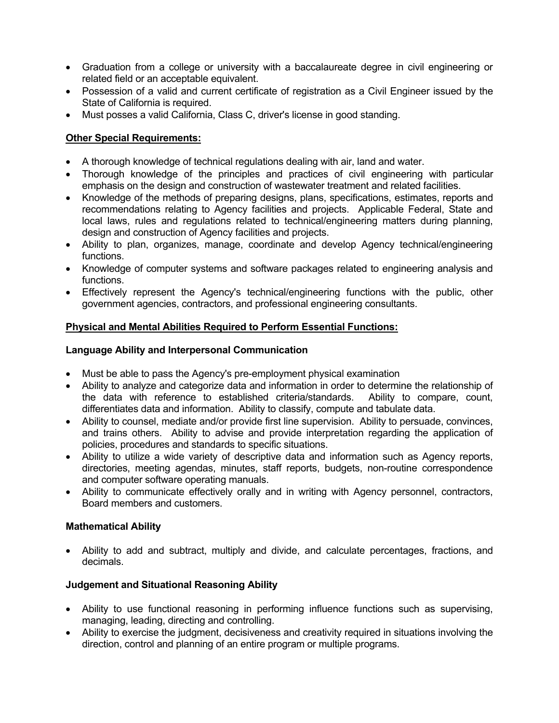- Graduation from a college or university with a baccalaureate degree in civil engineering or related field or an acceptable equivalent.
- Possession of a valid and current certificate of registration as a Civil Engineer issued by the State of California is required.
- Must posses a valid California, Class C, driver's license in good standing.

# **Other Special Requirements:**

- A thorough knowledge of technical regulations dealing with air, land and water.
- Thorough knowledge of the principles and practices of civil engineering with particular emphasis on the design and construction of wastewater treatment and related facilities.
- Knowledge of the methods of preparing designs, plans, specifications, estimates, reports and recommendations relating to Agency facilities and projects. Applicable Federal, State and local laws, rules and regulations related to technical/engineering matters during planning, design and construction of Agency facilities and projects.
- Ability to plan, organizes, manage, coordinate and develop Agency technical/engineering functions.
- Knowledge of computer systems and software packages related to engineering analysis and functions.
- Effectively represent the Agency's technical/engineering functions with the public, other government agencies, contractors, and professional engineering consultants.

# **Physical and Mental Abilities Required to Perform Essential Functions:**

## **Language Ability and Interpersonal Communication**

- Must be able to pass the Agency's pre-employment physical examination
- Ability to analyze and categorize data and information in order to determine the relationship of the data with reference to established criteria/standards. Ability to compare, count, differentiates data and information. Ability to classify, compute and tabulate data.
- Ability to counsel, mediate and/or provide first line supervision. Ability to persuade, convinces, and trains others. Ability to advise and provide interpretation regarding the application of policies, procedures and standards to specific situations.
- Ability to utilize a wide variety of descriptive data and information such as Agency reports, directories, meeting agendas, minutes, staff reports, budgets, non-routine correspondence and computer software operating manuals.
- Ability to communicate effectively orally and in writing with Agency personnel, contractors, Board members and customers.

## **Mathematical Ability**

• Ability to add and subtract, multiply and divide, and calculate percentages, fractions, and decimals.

## **Judgement and Situational Reasoning Ability**

- Ability to use functional reasoning in performing influence functions such as supervising, managing, leading, directing and controlling.
- Ability to exercise the judgment, decisiveness and creativity required in situations involving the direction, control and planning of an entire program or multiple programs.